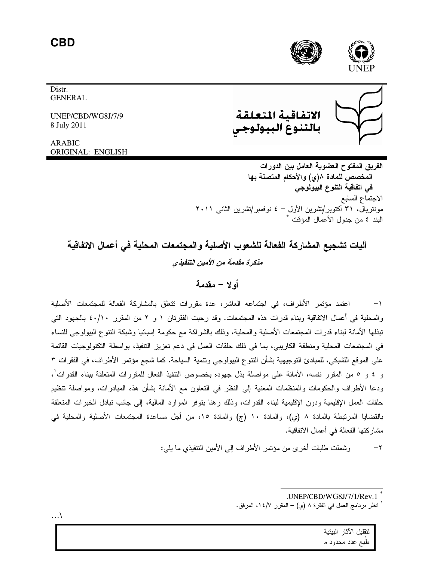**CBD** 





الاتفاقية المتعلة بالتنوع البيولوجى

**GENERAL** 

Distr.

UNEP/CBD/WG8J/7/9 8 July 2011

**ARABIC** ORIGINAL: ENGLISH

> الفريق المفتوح العضوية العامل بين الدورات المخصص للمادة ٨(ى) والأحكام المتصلة بها في اتفاقية التنوع البيولوجي الاجتماع السابع مونتریال، ۳۱ أكتوبر/تشرین الأول – ٤ نوفمبر/تشرین الثانبی ۲۰۱۱ البند ٤ من جدول الأعمال المؤقت \*

آلبات تشجيع المشاركة الفعالة للشعوب الأصلبة والمجتمعات المحلبة في أعمال الاتفاقية مذكرة مقدمة من الأمين التنفيذي

# أه لا - مقدمة

اعتمد مؤتمر الأطراف، في اجتماعه العاشر، عدة مقررات نتعلق بالمشاركة الفعالة للمجتمعات الأصلية  $-1$ والمحلية في أعمال الاتفاقية وبناء قدرات هذه المجتمعات. وقد رحبت الفقرنان ١ و ٢ من المقرر ٤٠/١٠ بالجهود التبي تبذلها الأمانة لبناء قدرات المجتمعات الأصلية والمحلية، وذلك بالشراكة مع حكومة إسبانيا وشبكة التتوع البيولوجي للنساء في المجتمعات المحلية ومنطقة الكاريبي، بما في ذلك حلقات العمل في دعم تعزيز التنفيذ، بواسطة التكنولوجيات القائمة على الموقع اللشبكي، للمبادئ النوجيهية بشأن النتوع البيولوجي ونتمية السياحة. كما شجع مؤنمر الأطراف، في الفقرات ٣ و ٤ و ٥ من المقرر نفسه، الأمانة على مواصلة بذل جهوده بخصوص التتفيذ الفعال للمقررات المتعلقة ببناء القدرات ، ودعا الأطراف والحكومات والمنظمات المعنية إلى النظر في النعاون مع الأمانة بشأن هذه المبادرات، ومواصلة نتظيم حلقات العمل الإقليمية ودون الإقليمية لبناء القدرات، وذلك رهنا بتوفر الموارد المالية، إلى جانب نبادل الخبرات المتعلقة بالقضايا المرتبطة بالمادة ٨ (ي)، والمادة ١٠ (ج) والمادة ١٥، من أجل مساعدة المجتمعات الأصلية والمحلية في مشاركتها الفعالة في أعمال الاتفاقية.

> وشملت طلبات أخر ي من مؤتمر الأطر اف إلى الأمين التتفيذي ما يلي:  $-\tau$

لتقلبل الآثار الببئبة

طبع عدد محدود م

 $\ldots$ 

<sup>.</sup>UNEP/CBD/WG8J/7/1/Rev.1

انظر برنامج العمل في الفقرة ٨ (ي) – المقرر ١٤/٧، المرفق.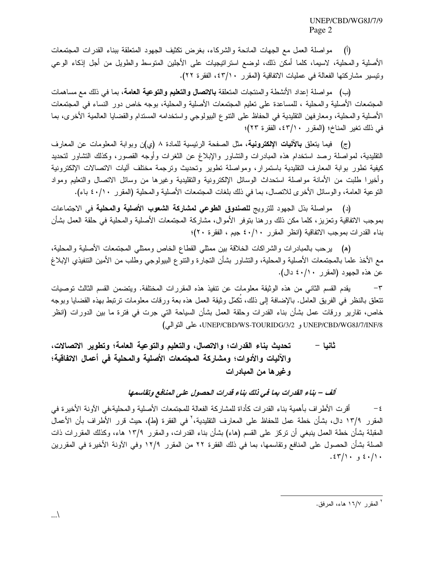مواصلة العمل مع الجهات المانحة والشركاء، بغرض نكثيف الجهود المتعلقة ببناء القدرات المجتمعات  $\left( \begin{matrix} 1 \\ 1 \end{matrix} \right)$ الأصلية والمحلية، لاسيما، كلما أمكن ذلك، لوضع استرانيجيات على الأجلين المتوسط والطويل من أجل إذكاء الوعى ونيسير مشاركتها الفعالة في عمليات الاتفاقية (المقرر ٤٣/١٠، الفقرة ٢٢).

(ب) مواصلة إعداد الأنشطة والمنتجات المتعلقة **بالاتصال والتعليم والتوعية العامة**، بما في ذلك مع مساهمات المجتمعات الأصلية والمحلية ، للمساعدة على تعليم المجتمعات الأصلية والمحلية، بوجه خاص دور النساء في المجتمعات الأصلية والمحلية، ومعارفهن النقليدية في الحفاظ على النتوع البيولوجي واستخدامه المسندام والقضايا العالمية الأخرى، بما في ذلك تغير المناخ؛ (المقرر ٤٣/١٠، الفقرة ٢٣)؛

(ج) فيما يتعلَّق بالآليات الإلكترونية، مثل الصفحة الرئيسية للمادة ٨ (ي)ن وبوابة المعلومات عن المعارف النقليدية، لمواصلة رصد استخدام هذه المبادرات والنشاور والإبلاغ عن الثغرات وأوجه القصور، وكذلك التشاور لتحديد كيفية نطور بوابة المعارف التقليدية باستمرار، ومواصلة نطوير وتحديث ونرجمة مختلف أليات الاتصالات الإلكترونية وأخيرا طلبت من الأمانة مواصلة استحداث الوسائل الإلكترونية والتقليدية وغيرها من وسائل الاتصال والتعليم ومواد النوعية العامة، والوسائل الأخرى للانصال، بما في ذلك بلغات المجتمعات الأصلية والمحلية (المقرر ٤٠/١٠ باء).

(د) مواصلة بذل الجهود للترويج للصندوق الطوعى لمشاركة الشعوب الأصلية والمحلية في الاجتماعات بموجب الاتفاقية ونعزيز، كلما مكن ذلك ورهنا بنوفر الأموال، مشاركة المجتمعات الأصلية والمحلية فى حلقة العمل بشأن بناء القدرات بموجب الاتفاقية (انظر المقرر ٤٠/١٠ جيم ، الفقرة ٢٠)؛

(ﻫ) يرحب بالمبادرات والشراكات الخلاقة بين ممثلي القطاع الخاص وممثلي المجتمعات الأصلية والمحلية، مع الأخذ علما بالمجتمعات الأصلية والمحلية، والتشاور بشأن التجارة والنتوع البيولوجي وطلب من الأمين التتفيذي الإبلاغ عن هذه الجهود (المقرر ٤٠/١٠ دال).

يقدم القسم الثاني من هذه الوثيقة معلومات عن نتفيذ هذه المقررات المختلفة. ويتضمن القسم الثالث توصيات  $-\tau$ نتعلق بالنظر في الفريق العامل. بالإضافة إلى ذلك، نُكمِّل وثيقة العمل هذه بعة ورقات معلومات نرتبط بهذه القضايا وبوجه خاص، نقارير ورقات عمل بشأن بناء القدرات وحلقة العمل بشأن السياحة التي جرت في فترة ما بين الدورات (انظر UNEP/CBD/WG8J/7/INF/8 و UNEP/CBD/WS-TOURIDG/3/2، على النوالي)

تحديث بناء القدرات؛ والاتصال، والتعليم والتوعية العامة؛ وتطوير الاتصالات، ثانيا – والآليات والأدوات؛ ومشاركة المجتمعات الأصلية والمحلية في أعمال الاتفاقية؛ وغيرها من المبادرات

# ألف – بناء القدرات بما في ذلك بناء قدرات الحصول على المنافع وتقاسمها

أقرت الأطراف بأهمية بناء القدرات كأداة للمشاركة الفعالة للمجتمعات الأصلية والمحلية،في الآونة الأخيرة في  $-\xi$ المقرر ١٣/٩ دال، بشأن خطة عمل للحفاظ على المعارف التقليدية،' في الفقرة (ط)، حيث قرر الأطراف بأن الأعمال المقبلة بشأن خطة العمل بنبغي أن نركز على القسم (هاء) بشأن بناء القدرات، والمقرر ١٣/٩ هاء، وكذلك المقررات ذات الصلة بشأن الحصول على المنافع وتقاسمها، بما في ذلك الفقرة ٢٢ من المقرر ١٢/٩ وفي الآونة الأخيرة في المقررين  $.55$  / \ . 9  $\frac{1}{2}$  .  $\frac{1}{2}$ 

<sup>&</sup>lt;sup>٢</sup> المقر ر ١٦/٧ هاء، المر فق.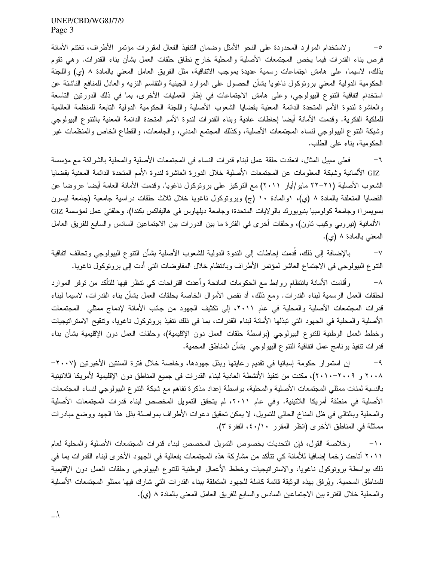ولاستخدام الموارد المحدودة على النحو الأمثل وضمان التنفيذ الفعال لمقررات مؤتمر الأطراف، تغتنم الأمانة  $-$ 0 فرص بناء القدرات فيما يخص المجتمعات الأصلية والمحلية خارج نطاق حلقات العمل بشأن بناء القدرات. وهي تقوم بذلك، لاسيما، على هامش اجتماعات رسمية عديدة بموجب الاتفاقية، مثل الفريق العامل المعنى بالمادة ٨ (ي) واللجنة الحكومية الدولية المعنى برونوكول ناغويا بشأن الحصول على الموارد الجينية والنقاسم النزيه والعادل للمنافع الناشئة عن استخدام اتفاقية النتوع البيولوجي، وعلى هامش الاجتماعات في إطار العمليات الأخرى، بما في ذلك الدورنين الناسعة والعاشرة لندوة الأمم المتحدة الدائمة المعنية بقضايا الشعوب الأصلية واللجنة الحكومية الدولية التابعة للمنظمة العالمية للملكية الفكرية. وقدمت الأمانة أيضا إحاطات عادية وبناء القدرات لندوة الأمم المتحدة الدائمة المعنية بالتنوع البيولوجي وشبكة النتوع البيولوجي لنساء المجتمعات الأصلية، وكذلك المجتمع المدنى، والجامعات، والقطاع الخاص والمنظمات غير الحكومية، بناء على الطلب.

فعلى سبيل المثال، انعقدت حلقة عمل لبناء قدرات النساء في المجتمعات الأصلية والمحلية بالشراكة مع مؤسسة  $-\mathbf{1}$ GIZ الألمانية وشبكة المعلومات عن المجتمعات الأصلية خلال الدورة العاشرة لندوة الأمم المتحدة الدائمة المعنية بقضايا الشعوب الأصلية (٢١–٢٢ مايو/أيار ٢٠١١) مع النركيز على برونوكول ناغويا. وقدمت الأمانة العامة أيضا عروضا عن القضايا المنعلقة بالمادة ٨ (ي)، ١والمادة ١٠ (ج) وبروتوكول ناغويا خلال ثلاث حلقات دراسية جامعية (جامعة ليسرن بسويسرا؛ وجامعة كولومبيا بنيويورك بالولايات المتحدة؛ وجامعة ديلهاوس في هاليفاكس بكندا)، وحلقتي عمل لمؤسسة GIZ الألمانية (نيروبي وكيب ناون)، وحلقات أخرى في الفترة ما بين الدورات بين الاجتماعين السادس والسابع للفريق العامل المعنى بالمادة ٨ (ي).

بالإضافة إلى ذلك، قدمت إحاطات إلى الندوة الدولية للشعوب الأصلية بشأن النتوع الببولوجي وتحالف اتفاقية  $-\vee$ النتوع البيولوجي في الاجتماع العاشر لمؤتمر الأطراف وبانتظام خلال المفاوضات التي أدت إلىي بروتوكول ناغويا.

وأقامت الأمانة بانتظام روابط مع الحكومات المانحة وأعدت اقتراحات كي نتظر فيها للتأكد من توفر الموارد  $-\lambda$ لحلقات العمل الرسمية لبناء القدرات. ومع ذلك، أد نقص الأموال الخاصة بحلقات العمل بشأن بناء القدرات، لاسيما لبناء قدرات المجتمعات الأصلية والمحلية في عام ٢٠١١، إلى تكثيف الجهود من جانب الأمانة لإدماج ممثلي المجتمعات الأصلية والمحلية في الجهود التي تبذلها الأمانة لبناء القدرات، بما في ذلك تتفيذ بروتوكول ناغويا، وتتقيح الاستراتيجيات وخطط العمل الوطنية للنتوع البيولوجي (بواسطة حلقات العمل دون الإقليمية)، وحلقات العمل دون الإقليمية بشأن بناء قدرات نتفيذ برنامج عمل اتفاقية النتوع البيولوجي بشأن المناطق المحمية.

إن استمرار حكومة إسبانيا في نقديم رعايتها وبذل جهودها، وخاصة خلال فترة السنتين الأخيرتين (٢٠٠٧–  $-9$ ٢٠٠٨ و ٢٠٠٩-٢٠١٠)، مكنت من نتفيذ الأنشطة العادية لبناء القدرات في جميع المناطق دون الإقليمية لأمريكا اللاتينية بالنسبة لمئات ممثلي المجتمعات الأصلية والمحلية، بواسطة إعداد مذكرة تفاهم مع شبكة النتوع الببولوجي لنساء المجتمعات الأصلية في منطقة أمريكا اللاتينية. وفي عام ٢٠١١، لم يتحقق التمويل المخصص لبناء قدرات المجتمعات الأصلية والمحلية وبالتالي في ظل المناخ الحالي للتمويل، لا يمكن تحقيق دعوات الأطراف بمواصلة بذل هذا الجهد ووضع مبادرات مماثلة في المناطق الأخرى (انظر المقرر ٤٠/١٠، الفقرة ٣).

وخلاصة القول، فإن التحديات بخصوص التمويل المخصص لبناء قدرات المجتمعات الأصلية والمحلية لعام  $-1$ . ٢٠١١ أتاحت زخما إضافيا للأمانة كي تتأكد من مشاركة هذه المجتمعات بفعالية في الجهود الأخرى لبناء القدرات بما في ذلك بواسطة برونوكول ناغويا، والاستراتيجيات وخطط الأعمال الوطنية للتتوع البيولوجي وحلقات العمل دون الإقليمية للمناطق المحمية. ويُرفق بهذه الوثيقة قائمة كاملة للجهود المتعلقة ببناء القدرات التي شارك فيها ممثلو المجتمعات الأصلية والمُعلَّية خلال الفُترة بين الاجتماعين السادس والسابع للفريق العامل المعنى بالمادة ٨ (ي).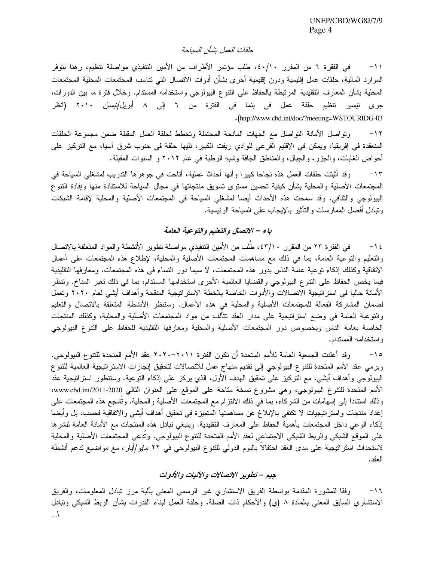### حلقات العمل بشأن السباحة

في الفقرة ٦ من المقرر ٤٠/١٠، طلب مؤتمر الأطراف من الأمين التنفيذي مواصلة تنظيم، رهنا بتوفر  $-11$ الموارد المالية، حلقات عمل إقليمية ودون إقليمية أخرى بشأن أدوات الانصال التي نتاسب المجتمعات المحلية المجتمعات المحلية بشأن المعارف التقليدية المرتبطة بالحفاظ على النتوع البيولوجي واستخدامه المستدام. وخلال فترة ما بين الدورات، جرى نيسير نتظيم حلقة عمل في بنما في الفترة من ٦ إلى ٨ أبريل/نيسان ٢٠١٠ (انظر .(http://www.cbd.int/doc/?meeting=WSTOURIDG-03

ونواصل الأمانة النواصل مع الجهات المانحة المحتملة ونخطط لحلقة العمل المقبلة ضمن مجموعة الحلقات  $-11$ المنعقدة في إفريقيا، ويمكن في الإقليم الفرعي للوادي ريفت الكبير، تليها حلقة في جنوب شرق آسيا، مع التركيز على أحواض الغابات، والجزر، والجبال، والمناطق الجافة وشبه الرطبة في عام ٢٠١٢ و السنوات المقبلة.

وقد أثبتت حلقات العمل هذه نجاحا كبيرًا وأنها أحداثًا عملية، أتاحت في جوهرها التدريب لمشغلي السياحة في  $-1$ المجتمعات الأصلية والمحلية بشأن كيفية تحسين مستوى تسويق منتجاتها في مجال السياحة للاستفادة منها وإفادة التتوع البيولوجي والثقافي. وقد سمحت هذه الأحداث أيضا لمشغلي السياحة في المجتمعات الأصلية والمحلية لإقامة الشبكات وتبادل أفضل الممارسات والتأثير بالإيجاب على السياحة الرئيسية.

## باء – الاتصال والتعليم والتوعية العامة

في الفقرة ٢٣ من المقرر ٤٣/١٠، طلب من الأمين التنفيذي مواصلة نطوير الأنشطة والمواد المنعلقة بالانصال  $-15$ والتعليم والنوعية العامة، بما في ذلك مع مساهمات المجتمعات الأصلية والمحلية، لإطلاع هذه المجتمعات على أعمال الاتفاقية وكذلك إذكاء نوعية عامة الناس بدور هذه المجتمعات، لا سيما دور النساء في هذه المجتمعات، ومعارفها التقليدية فيما يخص الحفاظ على النتوع البيولوجي والقضايا العالمية الأخرى استخدامها المستدام، بما في ذلك تغير المناخ. ونتظر الأمانة حاليا في استراتيجية الاتصالات والأدوات الخاصة بالخطة الاستراتيجية المنقحة وأهداف أيشى لعام ٢٠٢٠ وتعمل لضمان المشاركة الفعالة للمجتمعات الأصلية والمحلية في هذه الأعمال. وستنظر الأنشطة المتعلقة بالاتصال والتعليم والتوعية العامة في وضع استراتيجية على مدار العقد نتألف من مواد المجتمعات الأصلية والمحلية، وكذلك المنتجات الخاصة بعامة الناس وبخصوص دور المجتمعات الأصلية والمحلية ومعارفها التقليدية للحفاظ على النتوع البيولوجي و استخدامه المستدام.

وقد أعلنت الجمعية العامة للأمم المتحدة أن نكون الفترة ٢٠١١-٢٠٢٠ عقد الأمم المتحدة للتتوع البيولوجي.  $-10$ ويرمى عقد الأمم المتحدة للنتوع البيولوجي إلى نقديم منهاج عمل للاتصالات لتحقيق إنجازات الاستراتيجية العالمية للتتوع البيولوجي وأهداف أيشي، مع التركيز على تحقيق الهدف الأول، الذي يركز على إذكاء التوعية. وستتطور استراتيجية عقد الأمم المتحدة للنتوع البيولوجي، وهي مشروع نسخة متاحة على الموقع على العنوان التالي www.cbd.int/2011-2020، وذلك استنادا إلى إسهامات من الشركاء، بما في ذلك الالتزام مع المجتمعات الأصلية والمحلية. وتُشجع هذه المجتمعات على إعداد منتجات واستراتيجيات لا نكتفي بالإبلاغ عن مساهمتها المنميزة في تحقيق أهداف أيشي والاتفاقية فحسب، بل وأيضا إذكاء الوعي داخل المجتمعات بأهمية الحفاظ على المعارف التقليدية. وينبغي تبادل هذه المنتجات مع الأمانة العامة لنشرها على الموقع الشبكي والربط الشبكي الاجتماعي لعقد الأمم المتحدة للنتوع البيولوجي. ونُدعى المجتمعات الأصلية والمحلية لاستحداث استراتيجية على مدى العقد احتفالاً باليوم الدولي للنتوع البيولوجي في ٢٢ مايو/أيار، مع مواضيع ندعم أنشطة العقد .

#### جيم – تطوير الاتصالات والآليات والأدوات

وفقا للمشورة المقدمة بواسطة الفريق الاستشاري غير الرسمي المعنى بألية مرز تبادل المعلومات، والفريق  $-11$ الاستشاري السابق المعني بالمادة ٨ (ي) والأحكام ذات الصلة، وحلقة العمل لبناء القدرات بشأن الربط الشبكي ونبادل  $\ldots$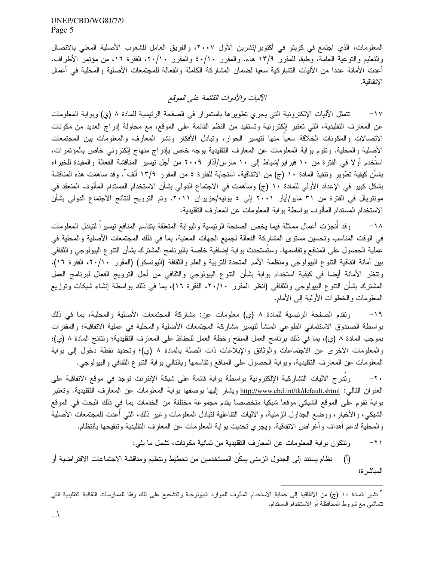المعلومات، الذي اجتمع في كويتو في أكتوبر/تشرين الأول ٢٠٠٧، والفريق العامل للشعوب الأصلية المعنى بالاتصال والتعليم والتوعية العامة، وطبقا للمقرر ١٣/٩ هاء، والمقرر ٤٠/١٠ والمقرر ٢٠/١٠، الفقرة ١٦، من مؤتمر الأطراف، أعدت الأمانة عددا من الآليات التشاركية سعيا لضمان المشاركة الكاملة والفعالة للمجتمعات الأصلية والمحلية في أعمال الاتفاقية.

# الآليات والأدوات القائمة على العوقع

تتمثَّل الآليات الإلكترونية التي يجري تطويرها باستمرار في الصفحة الرئيسية للمادة ٨ (ي) وبوابة المعلومات  $-1V$ عن المعارف النقليدية، التي تعتبر الكترونية وتستفيد من النظم القائمة على الموقع، مع محاولة إدراج العديد من مكونات الاتصالات والمكونات الخلاقة سعياً منها لنتيسير الحوار، وتبادل الأفكار ونشر المعارف والمعلومات بين المجتمعات الأصلية والمحلية. ونقوم بوابة المعلومات عن المعارف التقليدية بوجه خاص بإدراج منهاج إلكتروني خاص بالمؤتمرات، استُخدم أولا في الفترة من ١٠ فبراير/شباط إلى ١٠ مارس/أذار ٢٠٠٩ من أجل نيسير المناقشة الفعالة والمفيدة للخبراء بشأن كيفية تطوير وتتفيذ المادة ١٠ (ج) من الاتفاقية، استجابة للفقرة ٤ من المقرر ١٣/٩ ألف ّ. وقد ساهمت هذه المناقشة بشكل كبير في الإعداد الأولى للمادة ١٠ (ج) وساهمت في الاجتماع الدولي بشأن الاستخدام المستدام المألوف المنعقد في مونتريال في الفترة من ٣١ مايو/أيار ٢٠٠١ إلى ٤ يونيه/حزيران ٢٠١١. وتم الترويج لنتائج الاجتماع الدولمي بشأن الاستخدام المسندام المألوف بواسطة بوابة المعلومات عن المعارف النقليدية.

وقد أنجزت أعمال مماثلة فيما يخص الصفحة الرئيسية والبوابة المنعلقة بنقاسم المنافع نيسيراً لنبادل المعلومات  $-1\lambda$ في الوقت المناسب وتحسين مستوى المشاركة الفعالة لجميع الجهات المعنية، بما في ذلك المجتمعات الأصلية والمحلية في عملية الحصول على المنافع ونقاسمها. وستُستحدث بواية إضافية خاصة بالبرنامج المشترك بشأن النتوع البيولوجي والثقافي بين أمانة اتفاقية النتوع البيولوجي ومنظمة الأمم المتحدة للتربية والعلم والثقافة (اليونسكو) (المقرر ٢٠/١٠، الفقرة ١٦). وتنظر الأمانة أيضا في كيفية استخدام بوابة بشأن النتوع البيولوجي والثقافي من أجل الترويج الفعال لبرنامج العمل المشترك بشأن النتوع البيولوجي والثقافي (انظر المقرر ٢٠/١٠، الفقرة ١٦)، بما في ذلك بواسطة إنشاء شبكات وتوزيع المعلومات والخطوات الأولية إلىي الأمام.

ونقدم الصفحة الرئيسية للمادة ٨ (ي) معلومات عن: مشاركة المجتمعات الأصلية والمحلية، بما في ذلك  $-19$ بواسطة الصندوق الاستئمانـى الطوعـى المنشأ لنتيسير مشاركة المجتمعات الأصلية والمحلية فـى عملية الاتفاقية؛ والمققرات بموجب المادة ٨ (ي)، بما في ذلك برنامج العمل المنقح وخطة العمل للحفاظ على المعارف التقليدية؛ ونتائج المادة ٨ (ي)؛ والمعلومات الأخرى عن الاجتماعات والوثائق والإبلاغات ذات الصلة بالمادة ٨ (ي)؛ وتحديد نقطة دخول إلى بوابة المعلومات عن المعارف النقليدية، وبوابة الحصول على المنافع ونقاسمها وبالنالبي بوابة النتوع الثقافي والببولوجي.

وتُدرج الآليات التشاركية الإلكترونية بواسطة بوابة قائمة على شبكة الإنترنت توجد في موقع الاتفاقية على  $-\mathbf{y}$ . العنوان النتالي: http://www.cbd.int/tk/default.shtml ويشار إليها بوصفها بوابة المعلومات عن المعارف النقليدية. وتعتبر بوابة نقوم على الموقع الشبكي موقعا شبكيا متخصصا يقدم مجموعة مختلفة من الخدمات بما في ذلك البحث في الموقع الشبكي، والأخبار، ووضع الجداول الزمنية، والآليات النفاعلية لتبادل المعلومات وغير ذلك، التي أُعدت للمجتمعات الأصلية والمحلية لدعم أهداف وأغراض الاتفاقية. ويجري تحديث بوابة المعلومات عن المعارف النقليدية ونتقيحها بانتظام.

> ونتكون بوابة المعلومات عن المعارف النقليدية من ثمانية مكونات، تشمل ما يلي:  $-\gamma$ )

نظام يستند إلى الجدول الزمني يمكن المستخدمين من تخطيط ونتظيم ومناقشة الاجتماعات الافتر اضية أو  $(1)$ المباشرة؛

<sup>&</sup>quot; تشير المادة ١٠ (ج) من الاتفاقية إلى حماية الاستخدام المألوف للموارد البيولوجية والتشجيع على ذلك وفقا للممارسات الثقافية التقليدية التي نتماشى مع شروط المحافظة أو الاستخدام المستدام.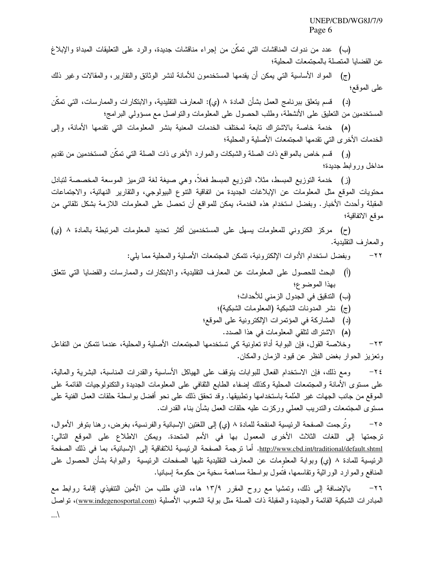(ب) عدد من ندوات المناقشات التي تمكن من إجراء مناقشات جديدة، والرد على التعليقات المبداة والإبلاغ عن القضايا المتصلة بالمجتمعات المحلية؛

(ج) المواد الأساسية التبي يمكن أن يقدمها المستخدمون للأمانة لنشر الوثائق والتقارير، والمقالات وغير ذلك على الموقع؛

(د) قسم ينعلق ببرنامج العمل بشأن المادة ٨ (ي): المعارف النقليدية، والابنكارات والممارسات، النبي نمكّن المستخدمين من النعليق على الأنشطة، وطلب الحصول على المعلومات والنواصل مع مسؤولي البرامج؛

(ه) خدمة خاصة بالاشتراك نابعة لمختلف الخدمات المعنية بنشر المعلومات التي نقدمها الأمانة، وإلى الخدمات الأخرى التي تقدمها المجتمعات الأصلية والمحلية؛

(و) قسم خاص بالمواقع ذات الصلة والشبكات والموارد الأخرى ذات الصلة التي تمكَّن المستخدمين من نقديم مداخل ور وابط جدبدة؛

(ز) خدمة النوزيع المبسط، مثلاً، النوزيع المبسط فعلاً، وهي صيغة لغة النرميز الموسعة المخصصة لنبادل محتويات الموقع مثل المعلومات عن الإبلاغات الجديدة من انفاقية النتوع البيولوجي، والنقارير النهائية، والاجتماعات المقبلة وأحدث الأخبار. وبفضل استخدام هذه الخدمة، بمكن للمواقع أن تحصل على المعلومات اللازمة بشكل تلقائي من موقع الاتفاقية؛

(ح) مركز الكتروني للمعلومات بسهل على المستخدمين أكثر تحديد المعلومات المرتبطة بالمادة ٨ (ي) و المعارف التقليدية.

> وبفضل استخدام الأدوات الإلكترونية، تتمكن المجتمعات الأصلية والمحلية مما يلبي:  $-\gamma\gamma$

- (أ) البحث للحصول على المعلومات عن المعارف النقليدية، والابنكارات والممارسات والقضايا التي نتعلق بهذا الموضوع؛
	- (ب) التدقيق في الجدول الزمني للأحداث؛
	- (ج) نشر المدونات الشبكية (المعلومات الشبكية)؛
	- (د) المشاركة في المؤتمرات الإلكترونية على الموقع؛
		- (ه) الاشتراك لنلقى المعلومات في هذا الصدد.

وخلاصة القول، فإن البوابة أداة تعاونية كي تستخدمها المجتمعات الأصلية والمحلية، عندما تتمكن من التفاعل  $-\tau\tau$ وتعزيز الحوار بغض النظر عن قيود الزمان والمكان.

ومع ذلك، فإن الاستخدام الفعال للبوابات بتوقف على الهياكل الأساسية والقدرات المناسبة، البشرية والمالية،  $-\tau$  { على مسنوى الأمانة والمجتمعات المحلية وكذلك إضفاء الطابع الثقافي على المعلومات الجديدة والتكنولوجيات القائمة على الموقع من جانب الجهات غير المُلمة باستخدامها وتطبيقها. وقد تحقق ذلك على نحو أفضل بواسطة حلقات العمل الفنية على مسنوى المجتمعات والندريب العملى وركزت عليه حلقات العمل بشأن بناء القدرات.

وترجمت الصفحة الرئيسية المنقحة للمادة ٨ (ي) إلى اللغتين الإسبانية والفرنسية، بغرض، رهنا بتوفر الأموال،  $-\gamma$ ترجمتها إلى اللغات الثلاث الأخرى المعمول بها في الأمم المتحدة. ويمكن الاطلاع على الموقع التالي: <u>http://www.cbd.int/traditional/default.shtml.</u> أما ترجمة الصفحة الرئيسية للاتفاقية إلى الإسبانية، بما في ذلك الصفحة الرئيسية للمادة ٨ (ي) وبوابة المعلومات عن المعارف التقليدية تليها الصفحات الرئيسية والبوابة بشأن الحصول على المنافع و المو ارد الور اثنية وتقاسمها، فتُمول بو اسطة مساهمة سخية من حكومة اسبانيا.

بالإضافة إلى ذلك، وتمشيا مع روح المقرر ١٣/٩ هاء، الذي طلب من الأمين التنفيذي إقامة روابط مع  $-\gamma$ المبادرات الشبكية القائمة والجديدة والمقبلة ذات الصلة مثل بوابة الشعوب الأصلية (www.indegenosportal.com)، تواصل  $\ldots$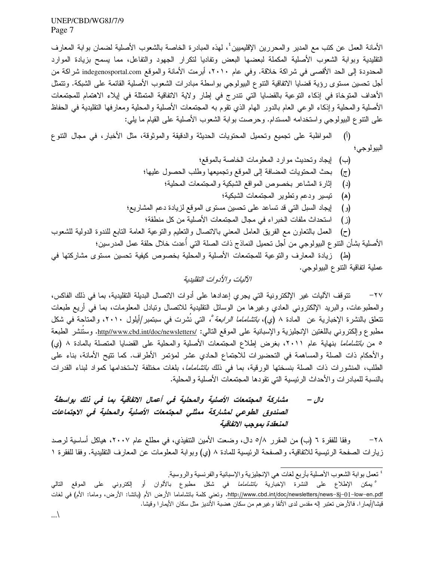الأمانة العمل عن كتب مع المدير والمحررين الإقليميين٬ المهذه المبادرة الخاصة بالشعوب الأصلية لضمان بوابة المعارف النقليدية وبوابة الشعوب الأصلية المكملة لبعضها البعض وتفاديا لتكرار الجهود والتفاعل، مما يسمح بزيادة الموارد المحدودة إلى الحد الأقصىي في شراكة خلاقة. وفي عام ٢٠١٠، أبرمت الأمانة والموقع indegenosportal.com شراكة من أجل تحسين مستوى رؤية قضايا الاتفاقية النتوع البيولوجي بواسطة مبادرات الشعوب الأصلية القائمة على الشبكة. ونتمثل الأهداف المتوخاة في إذكاء التوعية بالقضايا التي تندرج في إطار ولاية الاتفاقية المتمثلة في إيلاء الاهتمام للمجتمعات الأصلية والمحلية وإذكاء الوعي العام بالدور الهام الذي نقوم به المجتمعات الأصلية والمحلية ومعارفها النقليدية في الحفاظ على النتوع البيولوجي واستخدامه المستدام. وحرصت بوابة الشعوب الأصلية على القيام ما يلي:

(أ) المواظبة على نجميع ونحميل المحتويات الحديثة والدقيقة والموثوقة، مثل الأخبار، في مجال النتوع البيولوجي؛

- (د) إثارة المشاعر بخصوص المواقع الشبكية والمجتمعات المحلية؛
	- (ه) تبسير ودعم وتطوير المجتمعات الشبكبة؛
- (و) ليجاد السبل التبي قد نساعد على نحسين مستوى الموقع لزيادة دعم المشاريع؛
	- (ز ) استحداث ملفات الخبر اء في مجال المجتمعات الأصلية من كل منطقة؛

(ح) العمل بالنعاون مع الفريق العامل المعنى بالانصال والنعليم والنوعية العامة النابع للندوة الدولية للشعوب الأصلية بشأن التتو ع البيولوجي من أجل تحميل النماذج ذات الصلة التي أُعدت خلال حلقة عمل المدرسين؛

(ط) زيادة المعارف والتوعية للمجتمعات الأصلية والمحلية بخصوص كيفية تحسين مستوى مشاركتها في عملية انفاقية النتوع البيولوجي.

# الآليات والأدوات التقليدية

تتوقف الآليات غير الإلكترونية التي يجري إعدادها على أدوات الاتصال البديلة التقليدية، بما في ذلك الفاكس،  $-\gamma y$ والمطبوعات، والبريد الإلكتروني العادي وغيرها من الوسائل النقليدية للانصال ونبادل المعلومات، بما في أريع طبعات نتعلق بالنشرة الإخبارية عن المادة ٨ (ي)، *باتشاماما الرابعة °،* التي نُشرت في سبتمبر/أيلول ٢٠١٠، والمتاحة في شكل مطبوع وإلكتروني باللغتين الإنجليزية والإسبانية على الموقع النالي: http//www.cbd.int/doc/newsletters/ وستتشر الطبعة ٥ من باتشاماما بنهاية عام ٢٠١١، بغرض إطلاع المجتمعات الأصلية والمحلية على القضايا المتصلة بالمادة ٨ (ي) والأحكام ذات الصلة والمساهمة في التحضيرات للاجتماع الحادي عشر لمؤتمر الأطراف. كما تتيح الأمانة، بناء على الطلب، المنشورات ذات الصلة بنسختها الورقية، بما في ذلك *بانشاماما*، بلغات مختلفة لاستخدامها كمواد لبناء القدرات بالنسبة للمبادر ات و الأحداث الرئيسية التي نقو دها المجتمعات الأصلية و المحلية.

#### مشاركة المجتمعات الأصلية والمحلية في أعمال الاتفاقية بما في ذلك بواسطة دال – الصندوق الطوعى لمشاركة ممثلى المجتمعات الأصلية والمحلية فى الاجتماعات المنعقدة بموجب الإتفاقية

وفقًا للفقرة ٦ (ب) من المقرر ٥/٨ دال، وضعت الأمين التنفيذي، في مطلع عام ٢٠٠٧، هياكل أساسية لرصد  $-\tau \wedge$ زيارات الصفحة الرئيسية للاتفاقية، والصفحة الرئيسية للمادة ٨ (ي) وبوابة المعلومات عن المعارف التقليدية. وفقا للفقرة ١

<sup>&</sup>lt;sup>،</sup> تعمل بوابة الشعوب الأصلية بأربع لغات هي الإنجليزية والإسبانية والفرنسية والروسية<sub>.</sub>

<sup>°</sup> يمكن الإطلاع على النشرة الإخبارية *باتشاماما* في شكل مطبوع بالألوان أو إلكتروني على الموقع التالي http://www.cbd.int/doc/newsletters/news–8j–01–low–en.pdf. ونعنى كلمة بانتشاماما الأرض الأم (بانتشا: الأرض، وماما: الأم) في لغات قيشا/أيمارا. فالأرض تعتبر إله مقدس لدى الأنقا وغيرهم من سكان هضبة الأنديز مثل سكان الأيمارا وقيشا.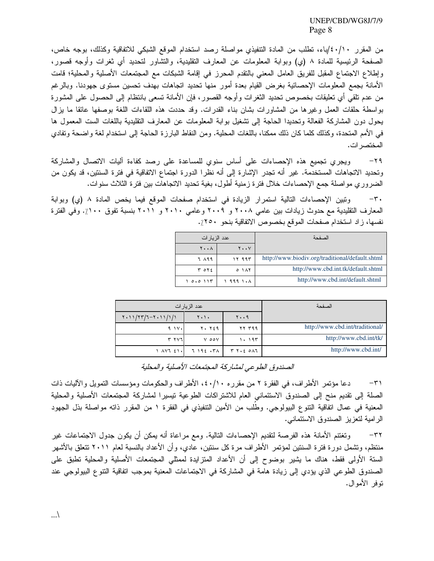من المقرر ٤٠/١٠ /باء، تطلب من المادة التنفيذي مواصلة رصد استخدام الموقع الشبكي للاتفاقية وكذلك، بوجه خاص، الصفحة الرئيسية للمادة ٨ (ي) وبوابة المعلومات عن المعارف النقليدية، والنشاور لنحديد أي ثغرات وأوجه قصور، وإطلاع الاجتماع المقبل للفريق العامل المعنى بالنقدم المحرز في إقامة الشبكات مع المجتمعات الأصلية والمحلية؛ قامت الأمانة بجمع المعلومات الإحصائية بغرض القيام بعدة أمور منها تحديد اتجاهات بهدف تحسين مستوى جهودنا. وبالرغم من عدم نلقي أي تعليقات بخصوص تحديد الثغرات وأوجه القصور ، فإن الأمانة تسعى بانتظام إلى الحصول على المشورة بواسطة حلقات العمل وغيرها من المشاورات بشان بناء القدرات. وقد حددت هذه اللقاءات اللغة بوصفها عائقا ما يزال يحول دون المشاركة الفعالة وتحديدا الحاجة إلى تشغيل بوابة المعلومات عن المعارف التقليدية باللغات الست المعمول ها في الأمم المتحدة، وكذلك كلما كان ذلك ممكنا، باللغات المحلية. ومن النقاط البارزة الحاجة إلى استخدام لغة واضحة ونفادي المختصر ات.

ويجري تجميع هذه الإحصاءات على أساس سنوي للمساعدة على رصد كفاءة أليات الاتصال والمشاركة  $-\tau$ ۹ وتحديد الاتجاهات المستخدمة. غير أنه تجدر الإشارة إلى أنه نظرا الدورة اجتماع الاتفاقية في فترة السنتين، قد يكون من الضروري مواصلة جمع الإحصاءات خلال فترة زمنية أطول، بغية تحديد الاتجاهات بين فترة الثلاث سنوات.

 $-\tau$ . وتبين الإحصاءات التالية استمرار الزيادة في استخدام صفحات الموقع فيما يخص المادة ٨ (ي) وبوابة المعارف النقليدية مع حدوث زيادات بين عامي ٢٠٠٨ و ٢٠٠٩ وعامي ٢٠١٠ و ٢٠١١ بنسبة تفوق ١٠٠٪. وفي الفترة نفسها، زاد استخدام صفحات الموقع بخصوص الاتفاقية بنحو ٢٥٠٪.

| عدد الزيار ات           |               | الصفحة                                          |
|-------------------------|---------------|-------------------------------------------------|
| $Y \cdot \cdot \Lambda$ | $Y \cdot Y$   |                                                 |
| 7 199                   | ۱۲ ۹۹۳        | http://www.biodiv.org/traditional/default.shtml |
| T OY                    | 0.111         | http://www.cbd.int.tk/default.shtml             |
| 0.0117                  | $1.999$ $1.1$ | http://www.cbd.int/default.shtml                |

| عدد الزيار ات                    |                               |               | الصفحة                          |
|----------------------------------|-------------------------------|---------------|---------------------------------|
| $Y \cdot 11/YT/T - Y \cdot 11/Y$ | $\mathbf{y} \cdot \mathbf{y}$ | $y \cdot .9$  |                                 |
| $9.1$ $V1$                       | 7. YE9                        | <b>77 ٣٩٩</b> | http://www.cbd.int/traditional/ |
| ۳ ۲۷٦I                           | Y OOV                         | 1.197         | http://www.cbd.int/tk/          |
| 1 1 1 2 1 .                      | ۳۱۹٤ - ۳۸                     | T Y.2 OAT     | http://www.cbd.int/             |

الصندوق الطوعي لمشاركة المجتمعات الأصلية والمحلية

دعًا مؤتمر الأطراف، في الفقرة ٢ من مقرره ٤٠/١٠، الأطراف والحكومات ومؤسسات النمويل والأليات ذات  $-\tau$ ) الصلة إلى نقديم منح إلى الصندوق الاستئماني العام للاشتراكات الطوعية نيسيرا لمشاركة المجتمعات الأصلية والمحلية المعنية في عمال اتفاقية النتوع البيولوجي. وطلب من الأمين التنفيذي في الفقرة ١ من المقرر ذاته مواصلة بذل الجهود الرامية لتعزيز الصندوق الاستئماني.

وتغتنم الأمانة هذه الفرصة لنقديم الإحصاءات النالية. ومع مراعاة أنه يمكن أن يكون جدول الاجتماعات غير  $-\tau \tau$ منتظم، ونشمل دورة فترة السنتين لمؤتمر الأطراف مرة كل سنتين، عادي، وأن الأعداد بالنسبة لعام ٢٠١١ نتعلق بالأشهر السنة الأولى فقط، هناك ما يشير بوضوح إلى أن الأعداد المنزايدة لممثلي المجتمعات الأصلية والمحلية نطبق على الصندوق الطوعي الذي يؤدي إلى زيادة هامة في المشاركة في الاجتماعات المعنية بموجب اتفاقية النتوع البيولوجي عند توفر الأموال.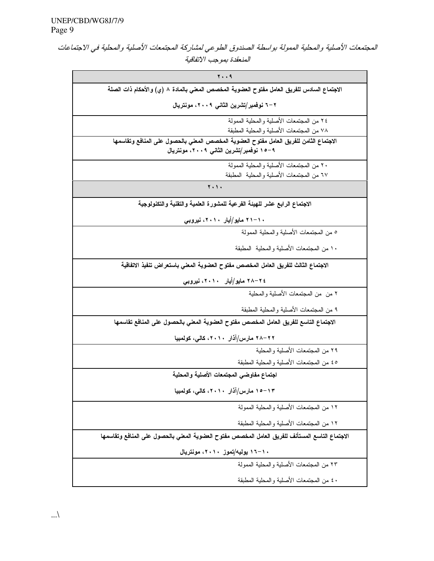المجتمعات الأصلية والمحلية الممولة بواسطة الصندوق الطوعي لمشاركة المجتمعات الأصلية والمحلية في الاجتماعات المنعقدة بموجب الاتفاقية

| 79                                                                                                                                |  |  |  |
|-----------------------------------------------------------------------------------------------------------------------------------|--|--|--|
| الاجتماع السادس للفريق العامل مفتوح العضوية المخصص المعنى بالمادة ٨ (ي) والأحكام ذات الصلة                                        |  |  |  |
| ۲–۲ نوفمبر/تشرین الثانی ۲۰۰۹، مونتریال                                                                                            |  |  |  |
| ٢٤ من المجتمعات الأصلية والمحلية الممولة                                                                                          |  |  |  |
| ٧٨ من المجتمعات الأصلية والمحلية المطبقة                                                                                          |  |  |  |
| الاجتماع الثامن للفريق العامل مفتوح العضوية المخصص المعنى بالحصول على المنافع وتقاسمها<br>۹–۱۰ نوفمبر/تشرین الثانی ۲۰۰۹، مونتریال |  |  |  |
| ٢٠ من المجتمعات الأصلية و المحلية الممولة                                                                                         |  |  |  |
| ٦٧ من المجتمعات الأصلية والمحلية المطبقة                                                                                          |  |  |  |
| $\mathbf{Y} \cdot \mathbf{Y}$                                                                                                     |  |  |  |
| الاجتماع الرابع عشر للهيئة الفرعية للمشورة العلمية والتقنية والتكنولوجية                                                          |  |  |  |
| ۱۰–۲۱ مایو/أیار ۲۰۱۰، نیروبی                                                                                                      |  |  |  |
| ٥ من المجتمعات الأصلية والمحلية الممولة                                                                                           |  |  |  |
| ١٠ من المجتمعات الأصلية والمحلية المطبقة                                                                                          |  |  |  |
| الاجتماع الثالث للفريق العامل المخصص مفتوح العضوية المعنى باستعراض تنفيذ الاتفاقية                                                |  |  |  |
| ۲۵–۲۸ مایو/أیار ۲۰۱۰، نیروبی                                                                                                      |  |  |  |
| ٢ من ًمن المجتمعات الأصلية والمحلية                                                                                               |  |  |  |
| ٩ من المجتمعات الأصلية والمحلية المطبقة                                                                                           |  |  |  |
| الاجتماع التاسع للفريق العامل المخصص مفتوح العضوية المعنى بالحصول على المنافع تقاسمها                                             |  |  |  |
| ۲۸–۲۸ مارس/آذار ۲۰۱۰، کالی، کولمبیا                                                                                               |  |  |  |
| ٢٩ من المجتمعات الأصلية والمحلية                                                                                                  |  |  |  |
| ٤٥ من المجتمعات الأصلية والمحلية المطبقة                                                                                          |  |  |  |
| اجتماع مفاوضى المجتمعات الأصلية والمحلية                                                                                          |  |  |  |
| ۱۳–۱۰ مارس/آذار ۲۰۱۰، کالی، کولمبیا                                                                                               |  |  |  |
| ١٢ من المجتمعات الأصلية والمحلية الممولة                                                                                          |  |  |  |
| ١٢ من المجتمعات الأصلية والمحلية المطبقة                                                                                          |  |  |  |
| الاجتماع التاسع المستأنف للفريق العامل المخصص مفتوح العضوية المعنى بالحصول على المنافع وتقاسمها                                   |  |  |  |
| ۱۰–۱۲ یولیه/تموز ۲۰۱۰، مونتریال                                                                                                   |  |  |  |
| ٢٣ من المجتمعات الأصلية و المحلية الممولة                                                                                         |  |  |  |
| ٤٠ من المجتمعات الأصلية والمحلية المطبقة                                                                                          |  |  |  |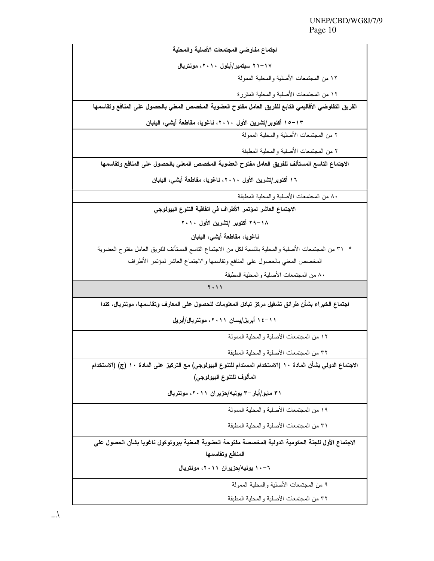| اجتماع مفاوضى المجتمعات الأصلية والمحلية                                                                     |  |  |  |  |
|--------------------------------------------------------------------------------------------------------------|--|--|--|--|
| ۱۷–۲۱ سبتمبر/أيلول ۲۰۱۰، مونتريال                                                                            |  |  |  |  |
| ١٢ من المجتمعات الأصلية و المحلية الممولة                                                                    |  |  |  |  |
| ١٢ من المجتمعات الأصلية والمحلية المقررة                                                                     |  |  |  |  |
| الفريق التفاوضي الأقاليمي التابع للفريق العامل مفتوح العضوية المخصص المعنى بالحصول على المنافع وتقاسمها      |  |  |  |  |
| ١٥–١٣ أكتوبر/تشرين الأول ٢٠١٠، ناغويا، مقاطعة أيشى، اليابان                                                  |  |  |  |  |
| ٢ من المجتمعات الأصلية والمحلية الممولة                                                                      |  |  |  |  |
| ٢ من المجتمعات الأصلية والمحلية المطبقة                                                                      |  |  |  |  |
| الاجتماع التاسع المستأنف للفريق العامل مفتوح العضوية المخصص المعنى بالحصول على المنافع وتقاسمها              |  |  |  |  |
| ١٦ أكتوبر/تشرين الأول ٢٠١٠، ناغويا، مقاطعة أيشى، اليابان                                                     |  |  |  |  |
| ٨٠ من المجتمعات الأصلية و المحلية المطبقة                                                                    |  |  |  |  |
| الاجتماع العاشر لمؤتمر الأطراف في اتفاقية التنوع البيولوجي                                                   |  |  |  |  |
| ٢٠١٨ أكتوبر /تشرين الأول ٢٠١٠                                                                                |  |  |  |  |
| ناغويا، مقاطعة أيشى، اليابان                                                                                 |  |  |  |  |
| *   ٣١ من المجتمعات الأصلية والمحلية بالنسبة لكل من الاجتماع الناسع المستأنف للفريق العامل مفتوح العضوية     |  |  |  |  |
| المخصص المعني بالحصول على المنافع وتقاسمها والاجتماع العاشر لمؤتمر الأطراف                                   |  |  |  |  |
| ٨٠ من المجتمعات الأصلية والمحلية المطبقة                                                                     |  |  |  |  |
| <b>7.11</b>                                                                                                  |  |  |  |  |
| اجتماع الخبراء بشأن طرائق تشغيل مركز تبادل المعلومات للحصول على المعارف وتقاسمها، مونتريال، كندا             |  |  |  |  |
| ۱۱–۱٤ أبريل/يسان ۲۰۱۱، مونتريال/أبريل                                                                        |  |  |  |  |
| ١٢ من المجتمعات الأصلية والمحلية الممولة                                                                     |  |  |  |  |
| ٣٢ من المجتمعات الأصلية والمحلية المطبقة                                                                     |  |  |  |  |
| الاجتماع الدولي بشأن المادة ١٠ (الاستخدام المستدام للتنوع البيولوجي) مع التركيز على المادة ١٠ (ج) (الاستخدام |  |  |  |  |
| المألوف للتنوع البيولوجي)                                                                                    |  |  |  |  |
| ۳۱ مایو/أیار –۳ یونیه/حزیران ۲۰۱۱، مونتریال                                                                  |  |  |  |  |
| ١٩ من المجتمعات الأصلية والمحلية الممولة                                                                     |  |  |  |  |
| ٣١ من المجتمعات الأصلية والمحلية المطبقة                                                                     |  |  |  |  |
| الاجتماع الأول للجنة الحكومية الدولية المخصصة مفتوحة العضوية المعنية ببروتوكول ناغويا بشأن الحصول على        |  |  |  |  |
| المنافع وتقاسمها                                                                                             |  |  |  |  |
| ٦-١٠ يونيه/حزيران ٢٠١١، مونتريال                                                                             |  |  |  |  |
| ٩ من المجتمعات الأصلية والمحلية الممولة                                                                      |  |  |  |  |
| ٣٢ من المجتمعات الأصلية والمحلية المطبقة                                                                     |  |  |  |  |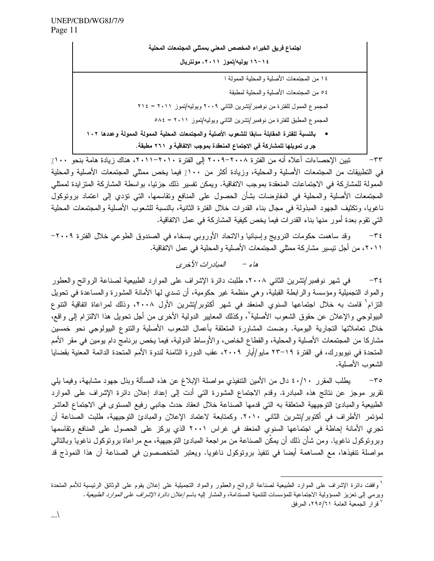اجتماع فريق الخبراء المخصص المعنى بممثلي المجتمعات المحلية ١٤-١٦ يوليه/تموز ٢٠١١، مونتريال ١٤ من المجتمعات الأصلية والمحلية الممولة ا ٥٤ من المجتمعات الأصلية والمحلية لمطبقة المجموع الممول للفترة من نوفمبر/تشرين الثاني ٢٠٠٩ ويوليه/تموز ٢٠١١ = ٢١٤ المجموع المطبق للفترة من نوفمبر/تشرين الثاني ويوليه/تموز ٢٠١١ = ٥٨٤ • بالنسبة للفترة المقابلة سابقا للشعوب الأصلية والمجتمعات المحلية الممولة الممولة وعددها ١٠٢ جرى تمويلها للمشاركة في الاجتماع المنعقدة بموجب الاتفاقية و ٢٦١ مطبقة.

تبين الإحصاءات أعلاه أنه من الفترة ٢٠٠٨-٢٠٠٩ إلى الفترة ٢٠١٠-٢٠١١، هناك زيادة هامة بنحو ١٠٠٪  $-\tau\tau$ في التطبيقات من المجتمعات الأصلية والمحلية، وزيادة أكثر من ١٠٠٪ فيما يخص ممثلي المجتمعات الأصلية والمحلية الممولة للمشاركة في الاجتماعات المنعقدة بموجب الاتفاقية. ويمكن تفسير ذلك جزئيا، بواسطة المشاركة المتزايدة لممثلي المجتمعات الأصلية والمحلية في المفاوضات بشأن الحصول على المنافع وتقاسمها، التي نؤدي إلى اعتماد برونوكول ناغويا، ونكثيف الجهود المبذولة في مجال بناء القدرات خلال الفترة الثانية، بالنسبة للشعوب الأصلية والمجتمعات المحلية التي نقوم بعدة أمور منها بناء القدرات فيما يخص كيفية المشاركة في عمل الاتفاقية.

وقد ساهمت حكومات النرويج وإسبانيا والاتحاد الأوروبي بسخاء في الصندوق الطوعي خلال الفترة ٢٠٠٩–  $-\tau$  { ٢٠١١، من أجل نيسير مشاركة ممثلي المجتمعات الأصلية والمحلية في عمل الاتفاقية.

#### المبادر ات الأخر ي هاء -

في شهر نوفمبر/نشرين الثاني ٢٠٠٨، طلبت دائرة الإشراف على الموارد الطبيعية لصناعة الروائح والعطور  $-\tau$  { والمواد التجميلية ومؤسسة والرابطة القبلية، وهي منظمة غير حكومية، أن نسدى لها الأمانة المشورة والمساعدة في تحويل التزام<sup>٦</sup> قامت به خلال اجتماعها السنوي المنعقد في شهر أكتوبر/تشرين الأول ٢٠٠٨، وذلك لمراعاة اتفاقية التتوع البيولوجي والإعلان عن حقوق الشعوب الأصلية ْ، وكذلك المعايير الدولية الأخرى من أجل نحويل هذا الالتزام إلى واقع، خلال تعاملاتها التجارية اليومية. وضمت المشاورة المتعلقة بأعمال الشعوب الأصلية والتتوع البيولوجي نحو خمسين مشاركا من المجتمعات الأصلية والمحلية، والقطاع الخاص، والأوساط الدولية، فيما يخص برنامج دام يومين في مقر الأمم المتحدة في نيويورك، في الفترة ١٩–٢٣ مايو/أيار ٢٠٠٩، عقب الدورة الثامنة لندوة الأمم المتحدة الدائمة المعنية بقضايا الشعوب الأصلية.

يطلب المقرر ٤٠/١٠ دال من الأمين التنفيذي مواصلة الإبلاغ عن هذه المسألة وبذل جهود مشابهة، وفيما يليي  $-\mathbf{r}\circ$ نقرير موجز عن نتائج هذه المبادرة. وقدم الاجتماع المشورة التي أدت إلى إعداد إعلان دائرة الإشراف على الموارد الطبيعية والمبادئ النوجيهية المنعلقة به التبي قدمها الصناعة خلال انعقاد حدث جانبي رفيع المسنوى في الاجتماع العاشر لمؤتمر الأطراف في أكتوبر/تشرين الثاني ٢٠١٠. وكمتابعة لاعتماد الإعلان والمبادئ التوجيهية، طلبت الصناعة أن تجري الأمانة إحاطة في اجتماعها السنوي المنعقد في غراس ٢٠٠١ الذي يركز على الحصول على المنافع وتقاسمها وبرونوكول ناغويا. ومن شأن ذلك أن يمكّن الصناعة من مراجعة المبادئ النوجيهية، مع مراعاة برونوكول ناغويا وبالنالي مواصلة تنفيذها، مع المساهمة أيضا في نتفيذ بروتوكول ناغويا. ويعتبر المتخصصون في الصناعة أن هذا النموذج قد

<sup>&</sup>lt;sup>7</sup> وافقت دائرة الإشراف على الموارد الطبيعية لصناعة الروائح والعطور والمواد التجميلية على إعلان يقوم على الوثائق الرئيسية للأمم المتحدة وبرمي إلى نعزيز المسؤولية الاجتماعية للمؤسسات للنتمية المستدامة، والمشار إليه باسم *إعلان دائرة الإشراف على الموارد الطبيعية*.

قرار الجمعية العامة ٢٩٥/٦١، المرفق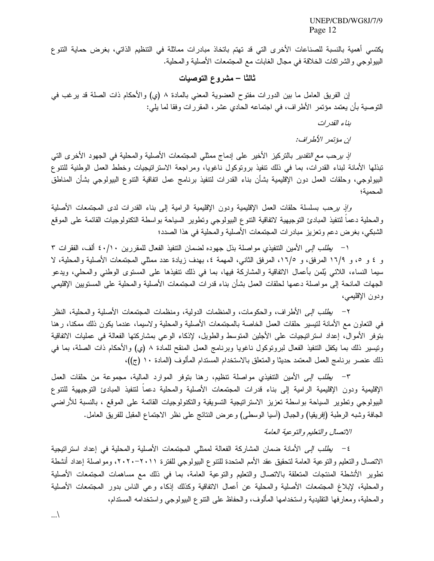يكتسي أهمية بالنسبة للصناعات الأخرى التي قد تهتم باتخاذ مبادرات مماثلة في التنظيم الذاتي، بغرض حماية التنوع البيولوجي والشراكات الخلاقة في مجال الغابات مع المجتمعات الأصلية والمحلية.

### ثالثا – مشروع التوصيات

إن الفريق العامل ما بين الدورات مفتوح العضوية المعنى بالمادة ٨ (ي) والأحكام ذات الصلة قد يرغب في النَّوصية بأن يعتمد مؤتمر الأطراف، في اجتماعه الحادي عشر، المقررات وفقا لما يلي:

بناء القدر ات

ان مؤتمر الأطراف:

*إذ برحب مع التقدير* بالتركيز الأخير على إدماج ممثلي المجتمعات الأصلية والمحلية في الجهود الأخرى التي تبذلها الأمانة لبناء القدرات، بما في ذلك نتفيذ برونوكول ناغويا، ومراجعة الاستراتيجيات وخطط العمل الوطنية للتتوع البيولوجي، وحلقات العمل دون الإقليمية بشأن بناء القدرات لنتفيذ برنامج عمل اتفاقية النتوع البيولوجي بشأن المناطق المحمية؛

وإنَّ برحب بسلسلة حلَّقات العمل الإقليمية ودون الإقليمية الرامية إلى بناء القدرات لدى المجتمعات الأصلية والمحلية دعمآ لنتفيذ المبادئ النوجيهية لاتفاقية النتوع البيولوجي ونطوير السياحة بواسطة النكنولوجيات القائمة على الموقع الشبكي، بغرض دعم وتعزيز مبادرات المجتمعات الأصلية والمحلية في هذا الصدد؛

١ – *يطلب إلى* الأمين التنفيذي مواصلة بذل جهوده لضمان التنفيذ الفعال للمقررين ٤٠/١٠ ألف، الفقرات ٣ و ٤ و ٥، و ١٦/٩ المرفق، و ١٦/٥، المرفق الثانبي، المهمة ٤، بهدف زيادة عدد ممثلي المجتمعات الأصلية والمحلية، لا سيما النساء، اللائـي يُلمن بأعمال الاتفاقية والمشاركة فيها، بما فـي ذلك نتفيذها علـي المستوى الوطنـي والمحلـي، ويدعو الجهات المانحة إلى مواصلة دعمها لحلقات العمل بشأن بناء قدرات المجتمعات الأصلية والمحلية على المستويين الإقليمي ودون الإقليمي،

٢– *يطلب إلى* الأطراف، والحكومات، والمنظمات الدولية، ومنظمات المجتمعات الأصلية والمحلية، النظر في التعاون مع الأمانة لنيسير حلقات العمل الخاصة بالمجتمعات الأصلية والمحلية ولاسيما، عندما يكون ذلك ممكنا، رهنا بنوفر الأموال، إعداد استراتيجيات على الأجلين المتوسط والطويل، لإذكاء الوعبي بمشاركتها الفعالة في عمليات الاتفاقية ونيسير ذلك بما يكفل التنفيذ الفعال لبرونوكول ناغويا وبرنامج العمل المنقح للمادة ٨ (ي) والأحكام ذات الصلة، بما في ذلك عنصر برنامج العمل المعتمد حديثًا والمتعلِّق بالاستخدام المستدام المألوف (المادة ١٠ (ج))،

٣– *يطلب إلى* الأمين التنفيذي مواصلة نتظيم، رهنا بتوفر الموارد المالية، مجموعة من حلقات العمل الإقليمية ودون الإقليمية الرامية إلى بناء قدرات المجتمعات الأصلية والمحلية دعما لتتفيذ المبادئ التوجيهية للتتوع البيولوجي ونطوير السياحة بواسطة نعزيز الاستراتيجية التسويقية والنكنولوجيات القائمة على الموقع ، بالنسبة للأراضي الجافة وشبه الرطبة (إفريقيا) والجبال (أسيا الوسطى) وعرض النتائج على نظر الاجتماع المقبل للفريق العامل.

الاتصال والتعليم والتوعية العامة

٤− *يطلب إلى* الأمانة ضمان المشاركة الفعالة لممثلي المجتمعات الأصلية والمحلية في إعداد استراتيجية الاتصال والنعليم والنوعية العامة لتحقيق عقد الأمم المتحدة للتنوع البيولوجي للفترة ٢٠١١-٢٠٢٠، ومواصلة إعداد أنشطة نطوير الأنشطة المنتجات المتعلقة بالاتصال والتعليم والنوعية العامة، بما في ذلك مع مساهمات المجتمعات الأصلية والمحلية، لإبلاغ المجتمعات الأصلية والمحلية عن أعمال الاتفاقية وكذلك إذكاء وعى الناس بدور المجتمعات الأصلية و المحلية، ومعار فها التقليدية و استخدامها المألوف، و الحفاظ على التنوع البيولوجي و استخدامه المستدام،

 $\ldots$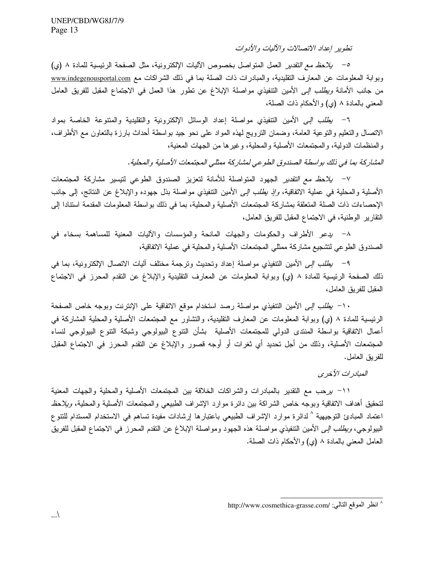تطوير إعداد الاتصالات والآليات والأدوات

0– *يلاحظ مع التقدير* العمل المتواصل بخصوص الأليات الإلكترونية، مثل الصفحة الرئيسية للمادة ٨ (ي) وبوابة المعلومات عن المعارف النقليدية، والمبادرات ذات الصلة بما في ذلك الشراكات مع www.indegenousportal.com من جانب الأمانة *ويطلب إلى* الأمين التنفيذي مواصلة الإبلاغ عن نطور هذا العمل في الاجتماع المقبل للفريق العامل المعنى بالمادة ٨ (ي) والأحكام ذات الصلة،

٦– *يطلب إلى* الأمين التنفيذي مواصلة إعداد الوسائل الإلكترونية والتقليدية والمتنوعة الخاصة بمواد الانصال والنعليم والنوعية العامة، وضمان النرويج لمهذه المواد على نحو جيد بواسطة أحداث بارزة بالنعاون مع الأطراف، والمنظمات الدولية، والمجتمعات الأصلية والمحلية، وغيرها من الجهات المعنية،

المشاركة بما في ذلك بواسطة الصندوق الطوعي لمشاركة ممثلي المجتمعات الأصلية والمحلية.

v− *بلاحظ مع التقدير* الجهود المتواصلة للأمانة لتعزيز الصندوق الطوعي لتيسير مشاركة المجتمعات الأصلية والمحلية فـي عملية الاتفاقية، *وإذ يطلب إلـي* الأمين التتفيذي مواصلة بذل جهوده والإبلاغ عن النتائج، إلـي جانب الإحصاءات ذات الصلة المتعلقة بمشاركة المجتمعات الأصلية والمحلية، بما في ذلك بواسطة المعلومات المقدمة استتادا إلى النقارير الوطنية، في الاجتماع المقبل للفريق العامل،

٨– يدعو الأطراف والحكومات والجهات المانحة والمؤسسات والأليات المعنية للمساهمة بسخاء في الصندوق الطوعي لتشجيع مشاركة ممثلي المجتمعات الأصلية والمحلية في عملية الاتفاقية،

٩– *يطلب إلى* الأمين التنفيذي مواصلة إعداد وتحديث وترجمة مختلف أليات الاتصال الإلكترونية، بما في ذلك الصفحة الرئيسية للمادة ٨ (ي) وبوابة المعلومات عن المعارف التقليدية والإبلاغ عن النقدم المحرز في الاجتماع المقبل للفريق العامل،

١٠− *يطلب إلى* الأمين التنفيذي مواصلة رصد استخدام موقع الاتفاقية على الإنترنت وبوجه خاص الصفحة الرئيسية للمادة ٨ (ي) وبوابة المعلومات عن المعارف التقليدية، والتشاور مع المجتمعات الأصلية والمحلية المشاركة في أعمال الاتفاقية بواسطة المنتدى الدولمي للمجتمعات الأصلية بشأن النتوع البيولوجي وشبكة النتوع البيولوجي لنساء المجتمعات الأصلية، وذلك من أجل تحديد أي ثغرات أو أوجه قصور والإبلاغ عن التقدم المحرز في الاجتماع المقبل للفريق العامل.

المبادر ات الأخرى

1١– بيرحب مع النقدير بالمبادرات والشراكات الخلاقة بين المجتمعات الأصلية والمحلية والجهات المعنية لتحقيق أهداف الاتفاقية وبوجه خاص الشراكة بين دائرة موارد الإشراف الطبيعي والمجتمعات الأصلية والمحلية، *ويلاحظ* اعتماد المبادئ التوجيهية <sup>^</sup> لدائرة موارد الإشراف الطبيعى باعتبارها إرشادات مفيدة تساهم فى الاستخدام المستدام للتتو ع البيولوجي، *ويطلب إلى* الأمين التتفيذي مواصلة هذه الجهود ومواصلة الإبلاغ عن النقدم المحرز فـي الاجتماع المقبل للفريق العامل المعنى بالمادة ٨ (ي) والأحكام ذات الصلة.

<sup>^</sup> انظر الموقع التالي: /http://www.cosmethica-grasse.com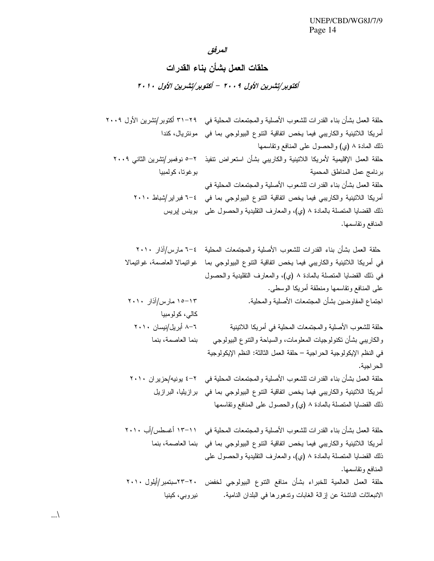المرفق

حلقات العمل بشأن بناء القدرات

أكتوبر/تشرين الأول ٢٠٠٩ – أكتوبر/تشرين الأول ٢٠١٠

 $\ldots$